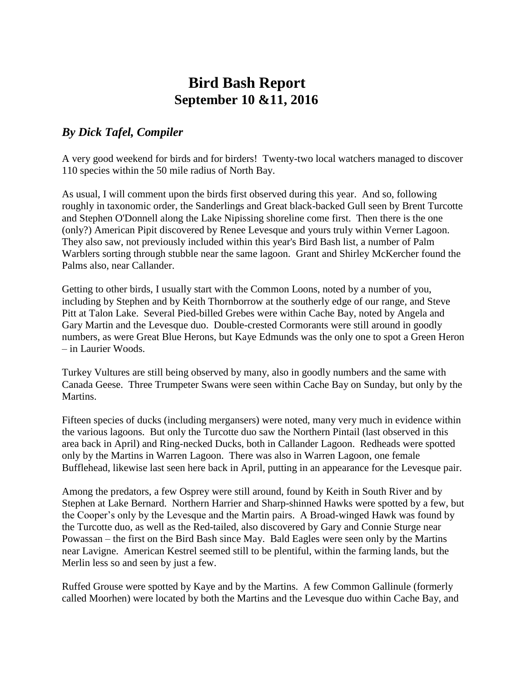## **Bird Bash Report September 10 &11, 2016**

## *By Dick Tafel, Compiler*

A very good weekend for birds and for birders! Twenty-two local watchers managed to discover 110 species within the 50 mile radius of North Bay.

As usual, I will comment upon the birds first observed during this year. And so, following roughly in taxonomic order, the Sanderlings and Great black-backed Gull seen by Brent Turcotte and Stephen O'Donnell along the Lake Nipissing shoreline come first. Then there is the one (only?) American Pipit discovered by Renee Levesque and yours truly within Verner Lagoon. They also saw, not previously included within this year's Bird Bash list, a number of Palm Warblers sorting through stubble near the same lagoon. Grant and Shirley McKercher found the Palms also, near Callander.

Getting to other birds, I usually start with the Common Loons, noted by a number of you, including by Stephen and by Keith Thornborrow at the southerly edge of our range, and Steve Pitt at Talon Lake. Several Pied-billed Grebes were within Cache Bay, noted by Angela and Gary Martin and the Levesque duo. Double-crested Cormorants were still around in goodly numbers, as were Great Blue Herons, but Kaye Edmunds was the only one to spot a Green Heron – in Laurier Woods.

Turkey Vultures are still being observed by many, also in goodly numbers and the same with Canada Geese. Three Trumpeter Swans were seen within Cache Bay on Sunday, but only by the Martins.

Fifteen species of ducks (including mergansers) were noted, many very much in evidence within the various lagoons. But only the Turcotte duo saw the Northern Pintail (last observed in this area back in April) and Ring-necked Ducks, both in Callander Lagoon. Redheads were spotted only by the Martins in Warren Lagoon. There was also in Warren Lagoon, one female Bufflehead, likewise last seen here back in April, putting in an appearance for the Levesque pair.

Among the predators, a few Osprey were still around, found by Keith in South River and by Stephen at Lake Bernard. Northern Harrier and Sharp-shinned Hawks were spotted by a few, but the Cooper's only by the Levesque and the Martin pairs. A Broad-winged Hawk was found by the Turcotte duo, as well as the Red-tailed, also discovered by Gary and Connie Sturge near Powassan – the first on the Bird Bash since May. Bald Eagles were seen only by the Martins near Lavigne. American Kestrel seemed still to be plentiful, within the farming lands, but the Merlin less so and seen by just a few.

Ruffed Grouse were spotted by Kaye and by the Martins. A few Common Gallinule (formerly called Moorhen) were located by both the Martins and the Levesque duo within Cache Bay, and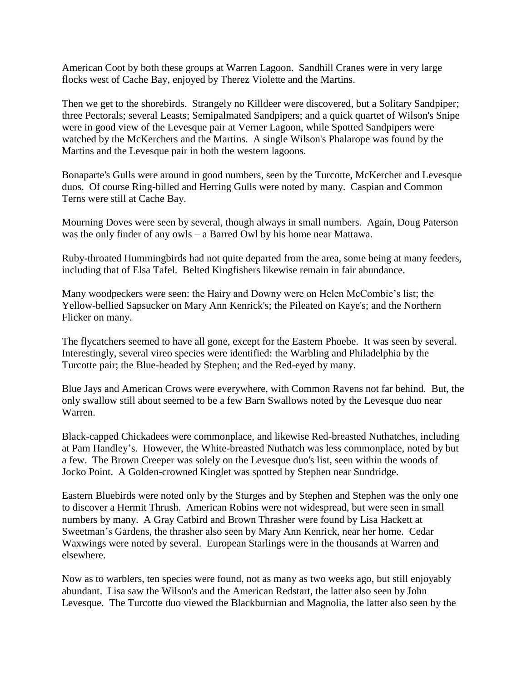American Coot by both these groups at Warren Lagoon. Sandhill Cranes were in very large flocks west of Cache Bay, enjoyed by Therez Violette and the Martins.

Then we get to the shorebirds. Strangely no Killdeer were discovered, but a Solitary Sandpiper; three Pectorals; several Leasts; Semipalmated Sandpipers; and a quick quartet of Wilson's Snipe were in good view of the Levesque pair at Verner Lagoon, while Spotted Sandpipers were watched by the McKerchers and the Martins. A single Wilson's Phalarope was found by the Martins and the Levesque pair in both the western lagoons.

Bonaparte's Gulls were around in good numbers, seen by the Turcotte, McKercher and Levesque duos. Of course Ring-billed and Herring Gulls were noted by many. Caspian and Common Terns were still at Cache Bay.

Mourning Doves were seen by several, though always in small numbers. Again, Doug Paterson was the only finder of any owls – a Barred Owl by his home near Mattawa.

Ruby-throated Hummingbirds had not quite departed from the area, some being at many feeders, including that of Elsa Tafel. Belted Kingfishers likewise remain in fair abundance.

Many woodpeckers were seen: the Hairy and Downy were on Helen McCombie's list; the Yellow-bellied Sapsucker on Mary Ann Kenrick's; the Pileated on Kaye's; and the Northern Flicker on many.

The flycatchers seemed to have all gone, except for the Eastern Phoebe. It was seen by several. Interestingly, several vireo species were identified: the Warbling and Philadelphia by the Turcotte pair; the Blue-headed by Stephen; and the Red-eyed by many.

Blue Jays and American Crows were everywhere, with Common Ravens not far behind. But, the only swallow still about seemed to be a few Barn Swallows noted by the Levesque duo near Warren.

Black-capped Chickadees were commonplace, and likewise Red-breasted Nuthatches, including at Pam Handley's. However, the White-breasted Nuthatch was less commonplace, noted by but a few. The Brown Creeper was solely on the Levesque duo's list, seen within the woods of Jocko Point. A Golden-crowned Kinglet was spotted by Stephen near Sundridge.

Eastern Bluebirds were noted only by the Sturges and by Stephen and Stephen was the only one to discover a Hermit Thrush. American Robins were not widespread, but were seen in small numbers by many. A Gray Catbird and Brown Thrasher were found by Lisa Hackett at Sweetman's Gardens, the thrasher also seen by Mary Ann Kenrick, near her home. Cedar Waxwings were noted by several. European Starlings were in the thousands at Warren and elsewhere.

Now as to warblers, ten species were found, not as many as two weeks ago, but still enjoyably abundant. Lisa saw the Wilson's and the American Redstart, the latter also seen by John Levesque. The Turcotte duo viewed the Blackburnian and Magnolia, the latter also seen by the